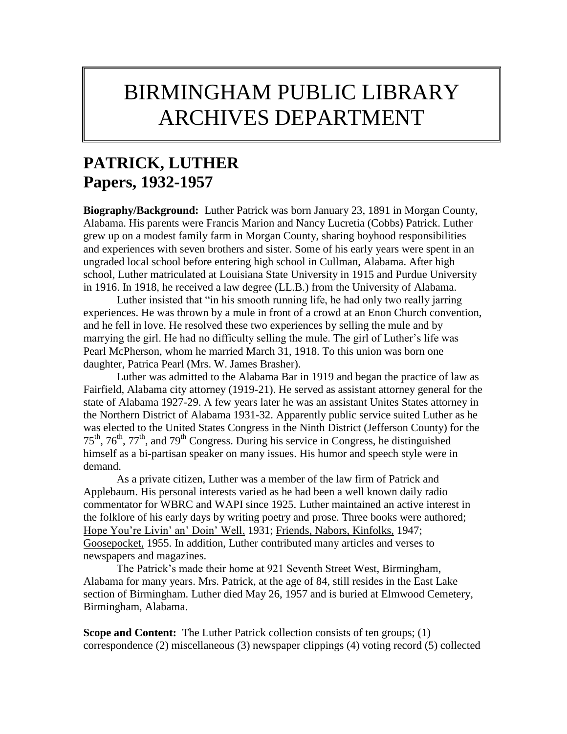# BIRMINGHAM PUBLIC LIBRARY ARCHIVES DEPARTMENT

# **PATRICK, LUTHER Papers, 1932-1957**

**Biography/Background:** Luther Patrick was born January 23, 1891 in Morgan County, Alabama. His parents were Francis Marion and Nancy Lucretia (Cobbs) Patrick. Luther grew up on a modest family farm in Morgan County, sharing boyhood responsibilities and experiences with seven brothers and sister. Some of his early years were spent in an ungraded local school before entering high school in Cullman, Alabama. After high school, Luther matriculated at Louisiana State University in 1915 and Purdue University in 1916. In 1918, he received a law degree (LL.B.) from the University of Alabama.

Luther insisted that "in his smooth running life, he had only two really jarring experiences. He was thrown by a mule in front of a crowd at an Enon Church convention, and he fell in love. He resolved these two experiences by selling the mule and by marrying the girl. He had no difficulty selling the mule. The girl of Luther's life was Pearl McPherson, whom he married March 31, 1918. To this union was born one daughter, Patrica Pearl (Mrs. W. James Brasher).

Luther was admitted to the Alabama Bar in 1919 and began the practice of law as Fairfield, Alabama city attorney (1919-21). He served as assistant attorney general for the state of Alabama 1927-29. A few years later he was an assistant Unites States attorney in the Northern District of Alabama 1931-32. Apparently public service suited Luther as he was elected to the United States Congress in the Ninth District (Jefferson County) for the  $75<sup>th</sup>$ ,  $76<sup>th</sup>$ ,  $77<sup>th</sup>$ , and  $79<sup>th</sup>$  Congress. During his service in Congress, he distinguished himself as a bi-partisan speaker on many issues. His humor and speech style were in demand.

As a private citizen, Luther was a member of the law firm of Patrick and Applebaum. His personal interests varied as he had been a well known daily radio commentator for WBRC and WAPI since 1925. Luther maintained an active interest in the folklore of his early days by writing poetry and prose. Three books were authored; Hope You're Livin' an' Doin' Well, 1931; Friends, Nabors, Kinfolks, 1947; Goosepocket, 1955. In addition, Luther contributed many articles and verses to newspapers and magazines.

The Patrick's made their home at 921 Seventh Street West, Birmingham, Alabama for many years. Mrs. Patrick, at the age of 84, still resides in the East Lake section of Birmingham. Luther died May 26, 1957 and is buried at Elmwood Cemetery, Birmingham, Alabama.

**Scope and Content:** The Luther Patrick collection consists of ten groups; (1) correspondence (2) miscellaneous (3) newspaper clippings (4) voting record (5) collected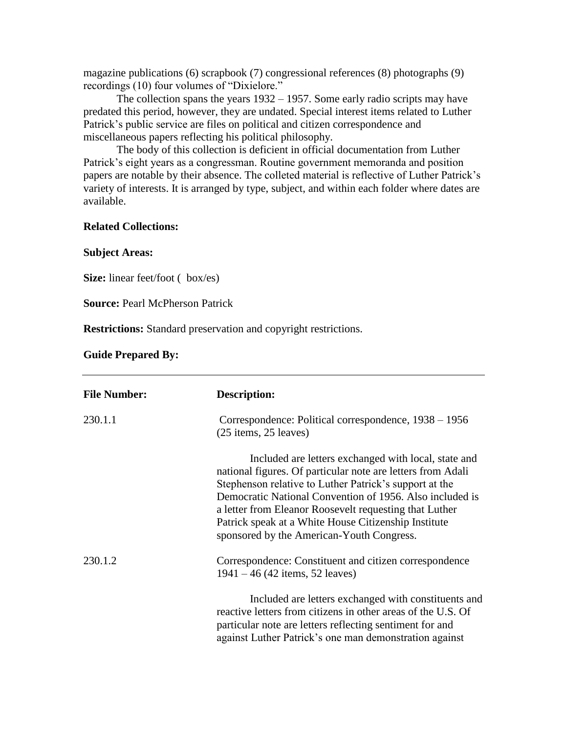magazine publications (6) scrapbook (7) congressional references (8) photographs (9) recordings (10) four volumes of "Dixielore."

The collection spans the years 1932 – 1957. Some early radio scripts may have predated this period, however, they are undated. Special interest items related to Luther Patrick's public service are files on political and citizen correspondence and miscellaneous papers reflecting his political philosophy.

The body of this collection is deficient in official documentation from Luther Patrick's eight years as a congressman. Routine government memoranda and position papers are notable by their absence. The colleted material is reflective of Luther Patrick's variety of interests. It is arranged by type, subject, and within each folder where dates are available.

## **Related Collections:**

#### **Subject Areas:**

**Size:** linear feet/foot ( box/es)

**Source:** Pearl McPherson Patrick

**Restrictions:** Standard preservation and copyright restrictions.

### **Guide Prepared By:**

| <b>File Number:</b> | Description:                                                                                                                                                                                                                                                                                                                                                                                             |
|---------------------|----------------------------------------------------------------------------------------------------------------------------------------------------------------------------------------------------------------------------------------------------------------------------------------------------------------------------------------------------------------------------------------------------------|
| 230.1.1             | Correspondence: Political correspondence, 1938 – 1956<br>$(25$ items, $25$ leaves)                                                                                                                                                                                                                                                                                                                       |
|                     | Included are letters exchanged with local, state and<br>national figures. Of particular note are letters from Adali<br>Stephenson relative to Luther Patrick's support at the<br>Democratic National Convention of 1956. Also included is<br>a letter from Eleanor Roosevelt requesting that Luther<br>Patrick speak at a White House Citizenship Institute<br>sponsored by the American-Youth Congress. |
| 230.1.2             | Correspondence: Constituent and citizen correspondence<br>$1941 - 46$ (42 items, 52 leaves)                                                                                                                                                                                                                                                                                                              |
|                     | Included are letters exchanged with constituents and<br>reactive letters from citizens in other areas of the U.S. Of<br>particular note are letters reflecting sentiment for and<br>against Luther Patrick's one man demonstration against                                                                                                                                                               |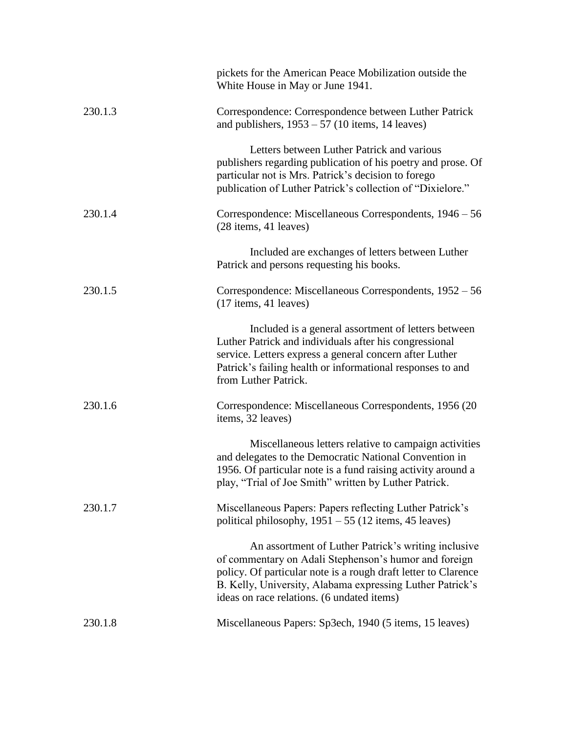|         | pickets for the American Peace Mobilization outside the<br>White House in May or June 1941.                                                                                                                                                                                               |
|---------|-------------------------------------------------------------------------------------------------------------------------------------------------------------------------------------------------------------------------------------------------------------------------------------------|
| 230.1.3 | Correspondence: Correspondence between Luther Patrick<br>and publishers, $1953 - 57$ (10 items, 14 leaves)                                                                                                                                                                                |
|         | Letters between Luther Patrick and various<br>publishers regarding publication of his poetry and prose. Of<br>particular not is Mrs. Patrick's decision to forego<br>publication of Luther Patrick's collection of "Dixielore."                                                           |
| 230.1.4 | Correspondence: Miscellaneous Correspondents, 1946 – 56<br>$(28$ items, 41 leaves)                                                                                                                                                                                                        |
|         | Included are exchanges of letters between Luther<br>Patrick and persons requesting his books.                                                                                                                                                                                             |
| 230.1.5 | Correspondence: Miscellaneous Correspondents, 1952 – 56<br>$(17$ items, 41 leaves)                                                                                                                                                                                                        |
|         | Included is a general assortment of letters between<br>Luther Patrick and individuals after his congressional<br>service. Letters express a general concern after Luther<br>Patrick's failing health or informational responses to and<br>from Luther Patrick.                            |
| 230.1.6 | Correspondence: Miscellaneous Correspondents, 1956 (20)<br>items, 32 leaves)                                                                                                                                                                                                              |
|         | Miscellaneous letters relative to campaign activities<br>and delegates to the Democratic National Convention in<br>1956. Of particular note is a fund raising activity around a<br>play, "Trial of Joe Smith" written by Luther Patrick.                                                  |
| 230.1.7 | Miscellaneous Papers: Papers reflecting Luther Patrick's<br>political philosophy, $1951 - 55$ (12 items, 45 leaves)                                                                                                                                                                       |
|         | An assortment of Luther Patrick's writing inclusive<br>of commentary on Adali Stephenson's humor and foreign<br>policy. Of particular note is a rough draft letter to Clarence<br>B. Kelly, University, Alabama expressing Luther Patrick's<br>ideas on race relations. (6 undated items) |
| 230.1.8 | Miscellaneous Papers: Sp3ech, 1940 (5 items, 15 leaves)                                                                                                                                                                                                                                   |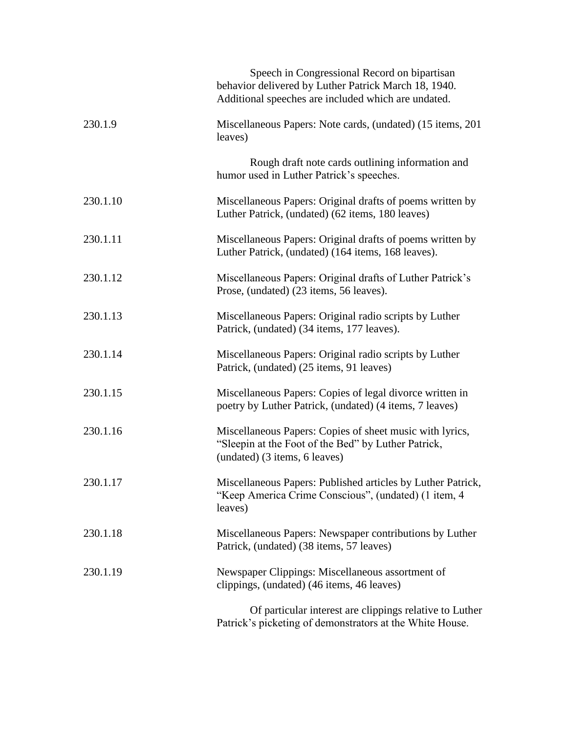|          | Speech in Congressional Record on bipartisan<br>behavior delivered by Luther Patrick March 18, 1940.<br>Additional speeches are included which are undated. |
|----------|-------------------------------------------------------------------------------------------------------------------------------------------------------------|
| 230.1.9  | Miscellaneous Papers: Note cards, (undated) (15 items, 201<br>leaves)                                                                                       |
|          | Rough draft note cards outlining information and<br>humor used in Luther Patrick's speeches.                                                                |
| 230.1.10 | Miscellaneous Papers: Original drafts of poems written by<br>Luther Patrick, (undated) (62 items, 180 leaves)                                               |
| 230.1.11 | Miscellaneous Papers: Original drafts of poems written by<br>Luther Patrick, (undated) (164 items, 168 leaves).                                             |
| 230.1.12 | Miscellaneous Papers: Original drafts of Luther Patrick's<br>Prose, (undated) (23 items, 56 leaves).                                                        |
| 230.1.13 | Miscellaneous Papers: Original radio scripts by Luther<br>Patrick, (undated) (34 items, 177 leaves).                                                        |
| 230.1.14 | Miscellaneous Papers: Original radio scripts by Luther<br>Patrick, (undated) (25 items, 91 leaves)                                                          |
| 230.1.15 | Miscellaneous Papers: Copies of legal divorce written in<br>poetry by Luther Patrick, (undated) (4 items, 7 leaves)                                         |
| 230.1.16 | Miscellaneous Papers: Copies of sheet music with lyrics,<br>"Sleepin at the Foot of the Bed" by Luther Patrick,<br>(undated) (3 items, 6 leaves)            |
| 230.1.17 | Miscellaneous Papers: Published articles by Luther Patrick,<br>"Keep America Crime Conscious", (undated) (1 item, 4<br>leaves)                              |
| 230.1.18 | Miscellaneous Papers: Newspaper contributions by Luther<br>Patrick, (undated) (38 items, 57 leaves)                                                         |
| 230.1.19 | Newspaper Clippings: Miscellaneous assortment of<br>clippings, (undated) (46 items, 46 leaves)                                                              |
|          | Of particular interest are clippings relative to Luther<br>Patrick's picketing of demonstrators at the White House.                                         |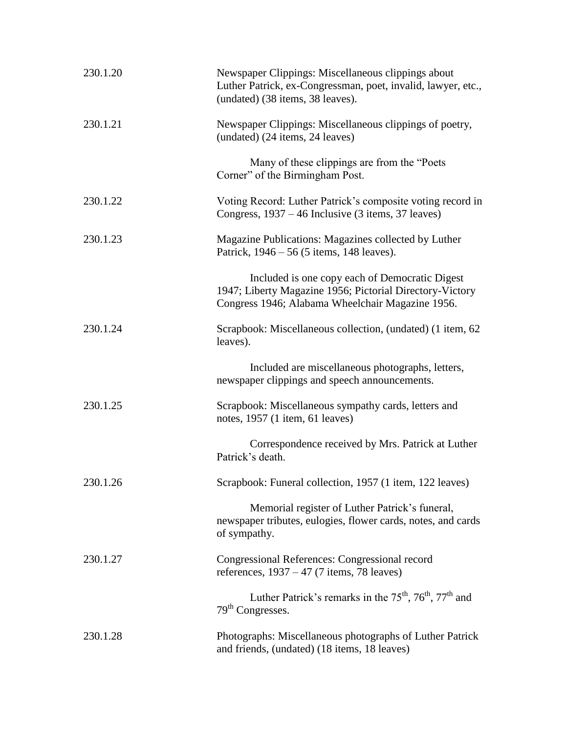| 230.1.20 | Newspaper Clippings: Miscellaneous clippings about<br>Luther Patrick, ex-Congressman, poet, invalid, lawyer, etc.,<br>(undated) (38 items, 38 leaves).         |
|----------|----------------------------------------------------------------------------------------------------------------------------------------------------------------|
| 230.1.21 | Newspaper Clippings: Miscellaneous clippings of poetry,<br>(undated) (24 items, 24 leaves)                                                                     |
|          | Many of these clippings are from the "Poets"<br>Corner" of the Birmingham Post.                                                                                |
| 230.1.22 | Voting Record: Luther Patrick's composite voting record in<br>Congress, 1937 – 46 Inclusive (3 items, 37 leaves)                                               |
| 230.1.23 | Magazine Publications: Magazines collected by Luther<br>Patrick, 1946 – 56 (5 items, 148 leaves).                                                              |
|          | Included is one copy each of Democratic Digest<br>1947; Liberty Magazine 1956; Pictorial Directory-Victory<br>Congress 1946; Alabama Wheelchair Magazine 1956. |
| 230.1.24 | Scrapbook: Miscellaneous collection, (undated) (1 item, 62<br>leaves).                                                                                         |
|          | Included are miscellaneous photographs, letters,<br>newspaper clippings and speech announcements.                                                              |
| 230.1.25 | Scrapbook: Miscellaneous sympathy cards, letters and<br>notes, 1957 (1 item, 61 leaves)                                                                        |
|          | Correspondence received by Mrs. Patrick at Luther<br>Patrick's death.                                                                                          |
| 230.1.26 | Scrapbook: Funeral collection, 1957 (1 item, 122 leaves)                                                                                                       |
|          | Memorial register of Luther Patrick's funeral,<br>newspaper tributes, eulogies, flower cards, notes, and cards<br>of sympathy.                                 |
| 230.1.27 | Congressional References: Congressional record<br>references, $1937 - 47$ (7 items, 78 leaves)                                                                 |
|          | Luther Patrick's remarks in the 75 <sup>th</sup> , 76 <sup>th</sup> , 77 <sup>th</sup> and<br>79 <sup>th</sup> Congresses.                                     |
| 230.1.28 | Photographs: Miscellaneous photographs of Luther Patrick<br>and friends, (undated) (18 items, 18 leaves)                                                       |